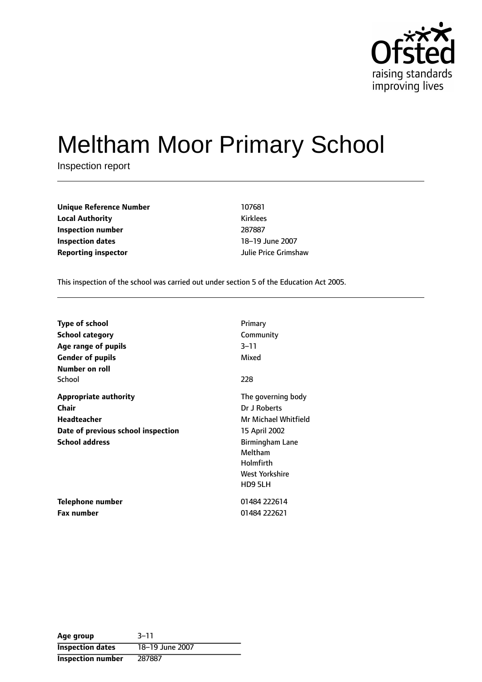

# Meltham Moor Primary School

Inspection report

| <b>Unique Reference Number</b> | 107681               |
|--------------------------------|----------------------|
| <b>Local Authority</b>         | <b>Kirklees</b>      |
| Inspection number              | 287887               |
| <b>Inspection dates</b>        | 18-19 June 2007      |
| <b>Reporting inspector</b>     | Julie Price Grimshaw |

This inspection of the school was carried out under section 5 of the Education Act 2005.

| <b>Type of school</b>              | Primary                |
|------------------------------------|------------------------|
| <b>School category</b>             | Community              |
| Age range of pupils                | $3 - 11$               |
| <b>Gender of pupils</b>            | Mixed                  |
| <b>Number on roll</b>              |                        |
| School                             | 228                    |
| <b>Appropriate authority</b>       | The governing body     |
| <b>Chair</b>                       | Dr J Roberts           |
| <b>Headteacher</b>                 | Mr Michael Whitfield   |
| Date of previous school inspection | 15 April 2002          |
| <b>School address</b>              | <b>Birmingham Lane</b> |
|                                    | Meltham                |
|                                    | Holmfirth              |
|                                    | West Yorkshire         |
|                                    | HD9 5LH                |
| Telephone number                   | 01484 222614           |
| Fax number                         | 01484 222621           |

| Age group                | $3 - 11$        |
|--------------------------|-----------------|
| <b>Inspection dates</b>  | 18-19 June 2007 |
| <b>Inspection number</b> | 287887          |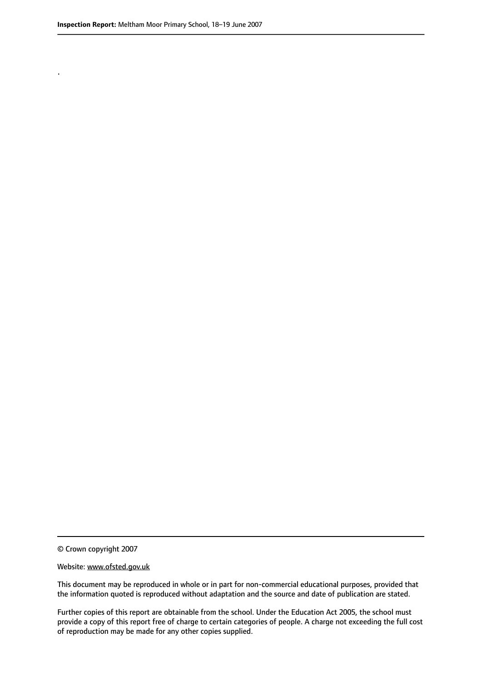.

© Crown copyright 2007

#### Website: www.ofsted.gov.uk

This document may be reproduced in whole or in part for non-commercial educational purposes, provided that the information quoted is reproduced without adaptation and the source and date of publication are stated.

Further copies of this report are obtainable from the school. Under the Education Act 2005, the school must provide a copy of this report free of charge to certain categories of people. A charge not exceeding the full cost of reproduction may be made for any other copies supplied.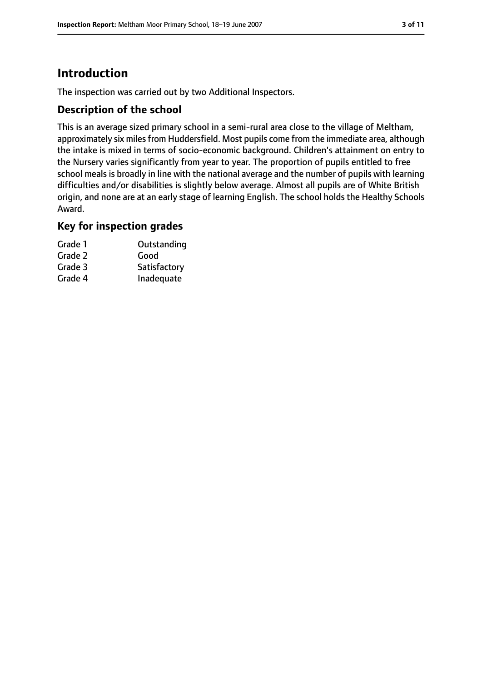# **Introduction**

The inspection was carried out by two Additional Inspectors.

## **Description of the school**

This is an average sized primary school in a semi-rural area close to the village of Meltham, approximately six miles from Huddersfield. Most pupils come from the immediate area, although the intake is mixed in terms of socio-economic background. Children's attainment on entry to the Nursery varies significantly from year to year. The proportion of pupils entitled to free school meals is broadly in line with the national average and the number of pupils with learning difficulties and/or disabilities is slightly below average. Almost all pupils are of White British origin, and none are at an early stage of learning English. The school holds the Healthy Schools Award.

## **Key for inspection grades**

| Grade 1 | Outstanding  |
|---------|--------------|
| Grade 2 | Good         |
| Grade 3 | Satisfactory |
| Grade 4 | Inadequate   |
|         |              |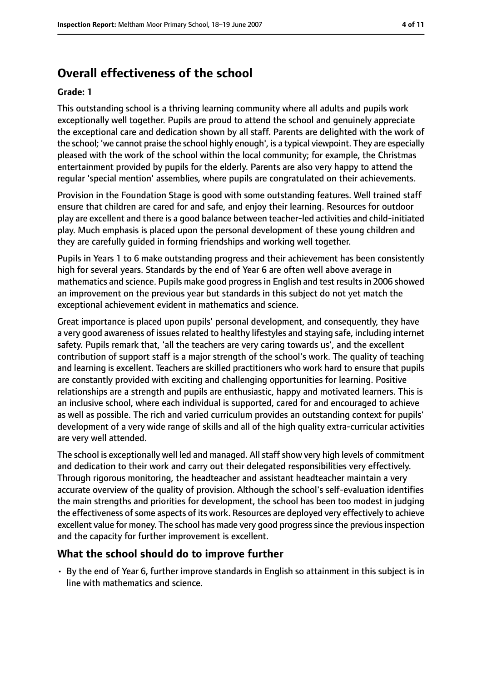# **Overall effectiveness of the school**

#### **Grade: 1**

This outstanding school is a thriving learning community where all adults and pupils work exceptionally well together. Pupils are proud to attend the school and genuinely appreciate the exceptional care and dedication shown by all staff. Parents are delighted with the work of the school; 'we cannot praise the school highly enough', is a typical viewpoint. They are especially pleased with the work of the school within the local community; for example, the Christmas entertainment provided by pupils for the elderly. Parents are also very happy to attend the regular 'special mention' assemblies, where pupils are congratulated on their achievements.

Provision in the Foundation Stage is good with some outstanding features. Well trained staff ensure that children are cared for and safe, and enjoy their learning. Resources for outdoor play are excellent and there is a good balance between teacher-led activities and child-initiated play. Much emphasis is placed upon the personal development of these young children and they are carefully guided in forming friendships and working well together.

Pupils in Years 1 to 6 make outstanding progress and their achievement has been consistently high for several years. Standards by the end of Year 6 are often well above average in mathematics and science. Pupils make good progress in English and test results in 2006 showed an improvement on the previous year but standards in this subject do not yet match the exceptional achievement evident in mathematics and science.

Great importance is placed upon pupils' personal development, and consequently, they have a very good awareness of issues related to healthy lifestyles and staying safe, including internet safety. Pupils remark that, 'all the teachers are very caring towards us', and the excellent contribution of support staff is a major strength of the school's work. The quality of teaching and learning is excellent. Teachers are skilled practitioners who work hard to ensure that pupils are constantly provided with exciting and challenging opportunities for learning. Positive relationships are a strength and pupils are enthusiastic, happy and motivated learners. This is an inclusive school, where each individual is supported, cared for and encouraged to achieve as well as possible. The rich and varied curriculum provides an outstanding context for pupils' development of a very wide range of skills and all of the high quality extra-curricular activities are very well attended.

The school is exceptionally well led and managed. All staff show very high levels of commitment and dedication to their work and carry out their delegated responsibilities very effectively. Through rigorous monitoring, the headteacher and assistant headteacher maintain a very accurate overview of the quality of provision. Although the school's self-evaluation identifies the main strengths and priorities for development, the school has been too modest in judging the effectiveness of some aspects of its work. Resources are deployed very effectively to achieve excellent value for money. The school has made very good progress since the previous inspection and the capacity for further improvement is excellent.

#### **What the school should do to improve further**

• By the end of Year 6, further improve standards in English so attainment in this subject is in line with mathematics and science.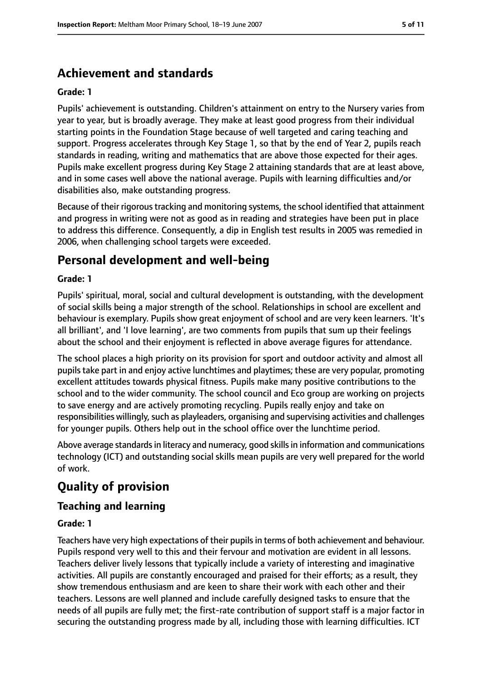# **Achievement and standards**

#### **Grade: 1**

Pupils' achievement is outstanding. Children's attainment on entry to the Nursery varies from year to year, but is broadly average. They make at least good progress from their individual starting points in the Foundation Stage because of well targeted and caring teaching and support. Progress accelerates through Key Stage 1, so that by the end of Year 2, pupils reach standards in reading, writing and mathematics that are above those expected for their ages. Pupils make excellent progress during Key Stage 2 attaining standards that are at least above, and in some cases well above the national average. Pupils with learning difficulties and/or disabilities also, make outstanding progress.

Because of their rigorous tracking and monitoring systems, the school identified that attainment and progress in writing were not as good as in reading and strategies have been put in place to address this difference. Consequently, a dip in English test results in 2005 was remedied in 2006, when challenging school targets were exceeded.

# **Personal development and well-being**

#### **Grade: 1**

Pupils' spiritual, moral, social and cultural development is outstanding, with the development of social skills being a major strength of the school. Relationships in school are excellent and behaviour is exemplary. Pupils show great enjoyment of school and are very keen learners. 'It's all brilliant', and 'I love learning', are two comments from pupils that sum up their feelings about the school and their enjoyment is reflected in above average figures for attendance.

The school places a high priority on its provision for sport and outdoor activity and almost all pupils take part in and enjoy active lunchtimes and playtimes; these are very popular, promoting excellent attitudes towards physical fitness. Pupils make many positive contributions to the school and to the wider community. The school council and Eco group are working on projects to save energy and are actively promoting recycling. Pupils really enjoy and take on responsibilities willingly, such as playleaders, organising and supervising activities and challenges for younger pupils. Others help out in the school office over the lunchtime period.

Above average standardsin literacy and numeracy, good skillsin information and communications technology (ICT) and outstanding social skills mean pupils are very well prepared for the world of work.

# **Quality of provision**

## **Teaching and learning**

#### **Grade: 1**

Teachers have very high expectations of their pupils in terms of both achievement and behaviour. Pupils respond very well to this and their fervour and motivation are evident in all lessons. Teachers deliver lively lessons that typically include a variety of interesting and imaginative activities. All pupils are constantly encouraged and praised for their efforts; as a result, they show tremendous enthusiasm and are keen to share their work with each other and their teachers. Lessons are well planned and include carefully designed tasks to ensure that the needs of all pupils are fully met; the first-rate contribution of support staff is a major factor in securing the outstanding progress made by all, including those with learning difficulties. ICT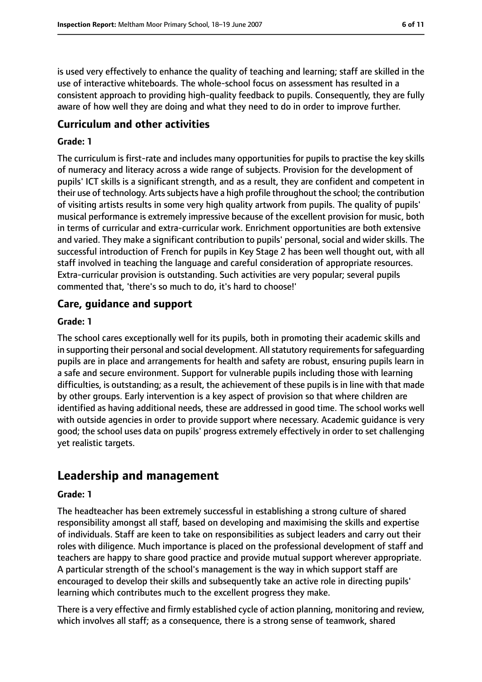is used very effectively to enhance the quality of teaching and learning; staff are skilled in the use of interactive whiteboards. The whole-school focus on assessment has resulted in a consistent approach to providing high-quality feedback to pupils. Consequently, they are fully aware of how well they are doing and what they need to do in order to improve further.

## **Curriculum and other activities**

#### **Grade: 1**

The curriculum is first-rate and includes many opportunities for pupils to practise the key skills of numeracy and literacy across a wide range of subjects. Provision for the development of pupils' ICT skills is a significant strength, and as a result, they are confident and competent in their use of technology. Artssubjects have a high profile throughout the school; the contribution of visiting artists results in some very high quality artwork from pupils. The quality of pupils' musical performance is extremely impressive because of the excellent provision for music, both in terms of curricular and extra-curricular work. Enrichment opportunities are both extensive and varied. They make a significant contribution to pupils' personal, social and wider skills. The successful introduction of French for pupils in Key Stage 2 has been well thought out, with all staff involved in teaching the language and careful consideration of appropriate resources. Extra-curricular provision is outstanding. Such activities are very popular; several pupils commented that, 'there's so much to do, it's hard to choose!'

## **Care, guidance and support**

#### **Grade: 1**

The school cares exceptionally well for its pupils, both in promoting their academic skills and in supporting their personal and social development. All statutory requirements for safequarding pupils are in place and arrangements for health and safety are robust, ensuring pupils learn in a safe and secure environment. Support for vulnerable pupils including those with learning difficulties, is outstanding; as a result, the achievement of these pupils is in line with that made by other groups. Early intervention is a key aspect of provision so that where children are identified as having additional needs, these are addressed in good time. The school works well with outside agencies in order to provide support where necessary. Academic guidance is very good; the school uses data on pupils' progress extremely effectively in order to set challenging yet realistic targets.

# **Leadership and management**

#### **Grade: 1**

The headteacher has been extremely successful in establishing a strong culture of shared responsibility amongst all staff, based on developing and maximising the skills and expertise of individuals. Staff are keen to take on responsibilities as subject leaders and carry out their roles with diligence. Much importance is placed on the professional development of staff and teachers are happy to share good practice and provide mutual support wherever appropriate. A particular strength of the school's management is the way in which support staff are encouraged to develop their skills and subsequently take an active role in directing pupils' learning which contributes much to the excellent progress they make.

There is a very effective and firmly established cycle of action planning, monitoring and review, which involves all staff; as a consequence, there is a strong sense of teamwork, shared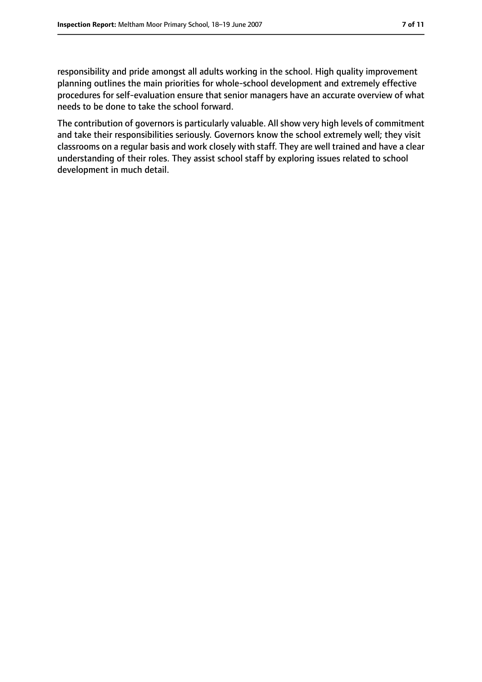responsibility and pride amongst all adults working in the school. High quality improvement planning outlines the main priorities for whole-school development and extremely effective procedures for self-evaluation ensure that senior managers have an accurate overview of what needs to be done to take the school forward.

The contribution of governors is particularly valuable. All show very high levels of commitment and take their responsibilities seriously. Governors know the school extremely well; they visit classrooms on a regular basis and work closely with staff. They are well trained and have a clear understanding of their roles. They assist school staff by exploring issues related to school development in much detail.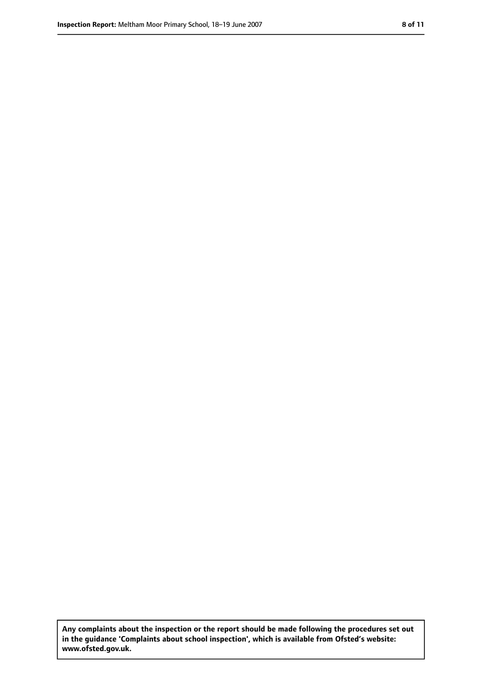**Any complaints about the inspection or the report should be made following the procedures set out in the guidance 'Complaints about school inspection', which is available from Ofsted's website: www.ofsted.gov.uk.**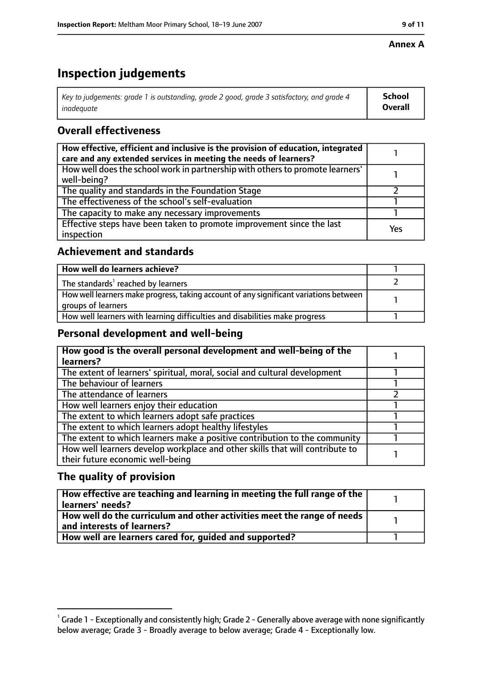#### **Annex A**

# **Inspection judgements**

| Key to judgements: grade 1 is outstanding, grade 2 good, grade 3 satisfactory, and grade 4 | School         |
|--------------------------------------------------------------------------------------------|----------------|
| inadeguate                                                                                 | <b>Overall</b> |

# **Overall effectiveness**

| How effective, efficient and inclusive is the provision of education, integrated<br>care and any extended services in meeting the needs of learners? |     |
|------------------------------------------------------------------------------------------------------------------------------------------------------|-----|
| How well does the school work in partnership with others to promote learners'<br>well-being?                                                         |     |
| The quality and standards in the Foundation Stage                                                                                                    |     |
| The effectiveness of the school's self-evaluation                                                                                                    |     |
| The capacity to make any necessary improvements                                                                                                      |     |
| Effective steps have been taken to promote improvement since the last<br>inspection                                                                  | Yes |

## **Achievement and standards**

| How well do learners achieve?                                                                               |  |
|-------------------------------------------------------------------------------------------------------------|--|
| The standards <sup>1</sup> reached by learners                                                              |  |
| How well learners make progress, taking account of any significant variations between<br>groups of learners |  |
| How well learners with learning difficulties and disabilities make progress                                 |  |

## **Personal development and well-being**

| How good is the overall personal development and well-being of the<br>learners? |  |
|---------------------------------------------------------------------------------|--|
|                                                                                 |  |
| The extent of learners' spiritual, moral, social and cultural development       |  |
| The behaviour of learners                                                       |  |
| The attendance of learners                                                      |  |
| How well learners enjoy their education                                         |  |
| The extent to which learners adopt safe practices                               |  |
| The extent to which learners adopt healthy lifestyles                           |  |
| The extent to which learners make a positive contribution to the community      |  |
| How well learners develop workplace and other skills that will contribute to    |  |
| their future economic well-being                                                |  |

# **The quality of provision**

| $\mid$ How effective are teaching and learning in meeting the full range of the $\mid$<br>  learners' needs?               |  |
|----------------------------------------------------------------------------------------------------------------------------|--|
| $\mid$ How well do the curriculum and other activities meet the range of needs $\mid$<br>$\mid$ and interests of learners? |  |
| How well are learners cared for, guided and supported?                                                                     |  |

 $^1$  Grade 1 - Exceptionally and consistently high; Grade 2 - Generally above average with none significantly below average; Grade 3 - Broadly average to below average; Grade 4 - Exceptionally low.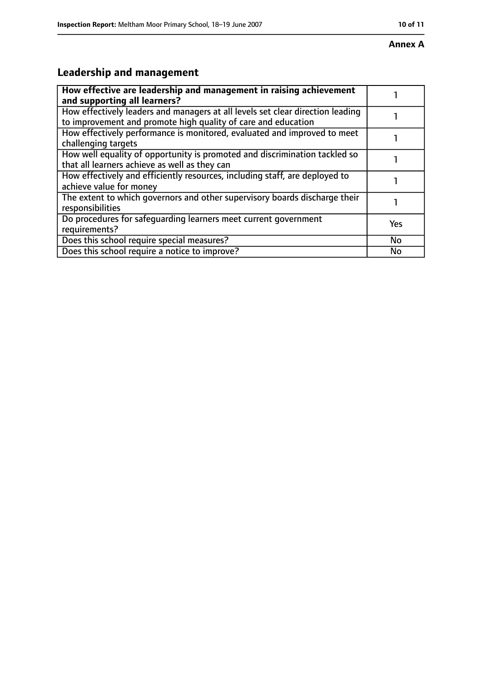#### **Annex A**

# **Leadership and management**

| How effective are leadership and management in raising achievement<br>and supporting all learners?                                              |           |
|-------------------------------------------------------------------------------------------------------------------------------------------------|-----------|
| How effectively leaders and managers at all levels set clear direction leading<br>to improvement and promote high quality of care and education |           |
| How effectively performance is monitored, evaluated and improved to meet<br>challenging targets                                                 |           |
| How well equality of opportunity is promoted and discrimination tackled so<br>that all learners achieve as well as they can                     |           |
| How effectively and efficiently resources, including staff, are deployed to<br>achieve value for money                                          |           |
| The extent to which governors and other supervisory boards discharge their<br>responsibilities                                                  |           |
| Do procedures for safeguarding learners meet current government<br>requirements?                                                                | Yes       |
| Does this school require special measures?                                                                                                      | <b>No</b> |
| Does this school require a notice to improve?                                                                                                   | No        |